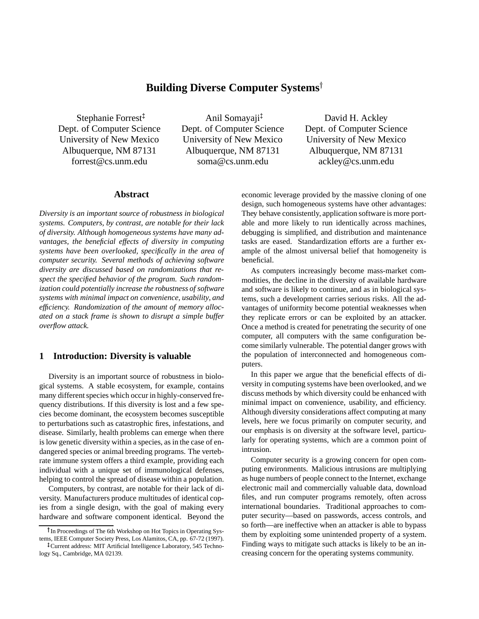# **Building Diverse Computer Systems**

Stephanie Forrest Dept. of Computer Science University of New Mexico Albuquerque, NM 87131 forrest@cs.unm.edu

Anil Somayaji Dept. of Computer Science University of New Mexico Albuquerque, NM 87131 soma@cs.unm.edu

David H. Ackley Dept. of Computer Science University of New Mexico Albuquerque, NM 87131 ackley@cs.unm.edu

## **Abstract**

*Diversity is an important source of robustness in biological systems. Computers, by contrast, are notable for their lack of diversity. Although homogeneoussystems have many advantages, the beneficial effects of diversity in computing systems have been overlooked, specifically in the area of computer security. Several methods of achieving software diversity are discussed based on randomizations that respect the specified behavior of the program. Such randomization could potentially increase the robustness of software systems with minimal impact on convenience, usability, and efficiency. Randomization of the amount of memory allocated on a stack frame is shown to disrupt a simple buffer overflow attack.*

## **1 Introduction: Diversity is valuable**

Diversity is an important source of robustness in biological systems. A stable ecosystem, for example, contains many different species which occur in highly-conserved frequency distributions. If this diversity is lost and a few species become dominant, the ecosystem becomes susceptible to perturbations such as catastrophic fires, infestations, and disease. Similarly, health problems can emerge when there is low genetic diversity within a species, as in the case of endangered species or animal breeding programs. The vertebrate immune system offers a third example, providing each individual with a unique set of immunological defenses, helping to control the spread of disease within a population.

Computers, by contrast, are notable for their lack of diversity. Manufacturers produce multitudes of identical copies from a single design, with the goal of making every hardware and software component identical. Beyond the economic leverage provided by the massive cloning of one design, such homogeneous systems have other advantages: They behave consistently, application software is more portable and more likely to run identically across machines, debugging is simplified, and distribution and maintenance tasks are eased. Standardization efforts are a further example of the almost universal belief that homogeneity is beneficial.

As computers increasingly become mass-market commodities, the decline in the diversity of available hardware and software is likely to continue, and as in biological systems, such a development carries serious risks. All the advantages of uniformity become potential weaknesses when they replicate errors or can be exploited by an attacker. Once a method is created for penetrating the security of one computer, all computers with the same configuration become similarly vulnerable. The potential danger grows with the population of interconnected and homogeneous computers.

In this paper we argue that the beneficial effects of diversity in computing systems have been overlooked, and we discuss methods by which diversity could be enhanced with minimal impact on convenience, usability, and efficiency. Although diversity considerations affect computing at many levels, here we focus primarily on computer security, and our emphasis is on diversity at the software level, particularly for operating systems, which are a common point of intrusion.

Computer security is a growing concern for open computing environments. Malicious intrusions are multiplying as huge numbers of people connect to the Internet, exchange electronic mail and commercially valuable data, download files, and run computer programs remotely, often across international boundaries. Traditional approaches to computer security—based on passwords, access controls, and so forth—are ineffective when an attacker is able to bypass them by exploiting some unintended property of a system. Finding ways to mitigate such attacks is likely to be an increasing concern for the operating systems community.

<sup>&</sup>lt;sup>†</sup> In Proceedings of The 6th Workshop on Hot Topics in Operating Systems, IEEE Computer Society Press, Los Alamitos, CA, pp. 67-72 (1997).

Current address: MIT Artificial Intelligence Laboratory, 545 Technology Sq., Cambridge, MA 02139.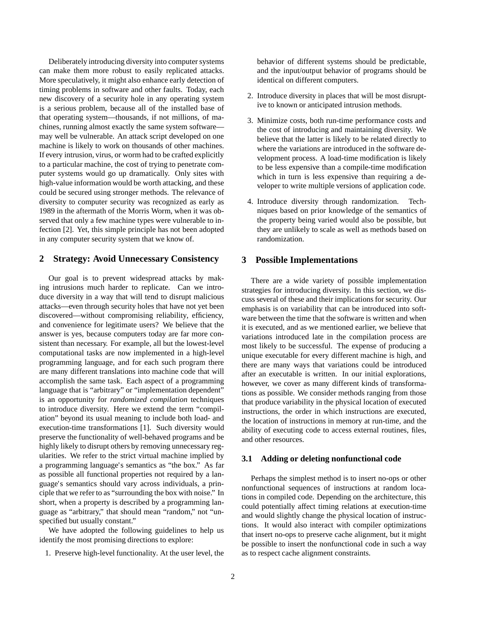Deliberately introducing diversity into computer systems can make them more robust to easily replicated attacks. More speculatively, it might also enhance early detection of timing problems in software and other faults. Today, each new discovery of a security hole in any operating system is a serious problem, because all of the installed base of that operating system—thousands, if not millions, of machines, running almost exactly the same system software may well be vulnerable. An attack script developed on one machine is likely to work on thousands of other machines. If every intrusion, virus, or worm had to be crafted explicitly to a particular machine, the cost of trying to penetrate computer systems would go up dramatically. Only sites with high-value information would be worth attacking, and these could be secured using stronger methods. The relevance of diversity to computer security was recognized as early as 1989 in the aftermath of the Morris Worm, when it was observed that only a few machine types were vulnerable to infection [2]. Yet, this simple principle has not been adopted in any computer security system that we know of.

## **2 Strategy: Avoid Unnecessary Consistency**

Our goal is to prevent widespread attacks by making intrusions much harder to replicate. Can we introduce diversity in a way that will tend to disrupt malicious attacks—even through security holes that have not yet been discovered—without compromising reliability, efficiency, and convenience for legitimate users? We believe that the answer is yes, because computers today are far more consistent than necessary. For example, all but the lowest-level computational tasks are now implemented in a high-level programming language, and for each such program there are many different translations into machine code that will accomplish the same task. Each aspect of a programming language that is "arbitrary" or "implementation dependent" is an opportunity for *randomized compilation* techniques to introduce diversity. Here we extend the term "compilation" beyond its usual meaning to include both load- and execution-time transformations [1]. Such diversity would preserve the functionality of well-behaved programs and be highly likely to disrupt others by removing unnecessary regularities. We refer to the strict virtual machine implied by a programming language's semantics as "the box." As far as possible all functional properties not required by a language's semantics should vary across individuals, a principle that we refer to as "surrounding the box with noise." In short, when a property is described by a programming language as "arbitrary," that should mean "random," not "unspecified but usually constant."

We have adopted the following guidelines to help us identify the most promising directions to explore:

1. Preserve high-level functionality. At the user level, the

behavior of different systems should be predictable, and the input/output behavior of programs should be identical on different computers.

- 2. Introduce diversity in places that will be most disruptive to known or anticipated intrusion methods.
- 3. Minimize costs, both run-time performance costs and the cost of introducing and maintaining diversity. We believe that the latter is likely to be related directly to where the variations are introduced in the software development process. A load-time modification is likely to be less expensive than a compile-time modification which in turn is less expensive than requiring a developer to write multiple versions of application code.
- 4. Introduce diversity through randomization. Techniques based on prior knowledge of the semantics of the property being varied would also be possible, but they are unlikely to scale as well as methods based on randomization.

## **3 Possible Implementations**

There are a wide variety of possible implementation strategies for introducing diversity. In this section, we discuss several of these and their implications for security. Our emphasis is on variability that can be introduced into software between the time that the software is written and when it is executed, and as we mentioned earlier, we believe that variations introduced late in the compilation process are most likely to be successful. The expense of producing a unique executable for every different machine is high, and there are many ways that variations could be introduced after an executable is written. In our initial explorations, however, we cover as many different kinds of transformations as possible. We consider methods ranging from those that produce variability in the physical location of executed instructions, the order in which instructions are executed, the location of instructions in memory at run-time, and the ability of executing code to access external routines, files, and other resources.

#### **3.1 Adding or deleting nonfunctional code**

Perhaps the simplest method is to insert no-ops or other nonfunctional sequences of instructions at random locations in compiled code. Depending on the architecture, this could potentially affect timing relations at execution-time and would slightly change the physical location of instructions. It would also interact with compiler optimizations that insert no-ops to preserve cache alignment, but it might be possible to insert the nonfunctional code in such a way as to respect cache alignment constraints.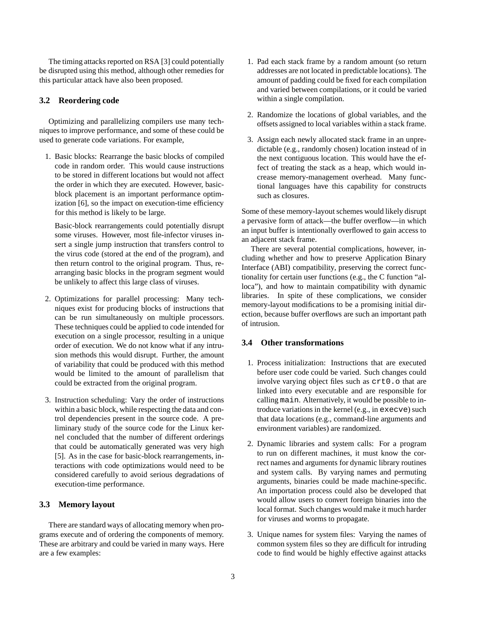The timing attacks reported on RSA [3] could potentially be disrupted using this method, although other remedies for this particular attack have also been proposed.

#### **3.2 Reordering code**

Optimizing and parallelizing compilers use many techniques to improve performance, and some of these could be used to generate code variations. For example,

1. Basic blocks: Rearrange the basic blocks of compiled code in random order. This would cause instructions to be stored in different locations but would not affect the order in which they are executed. However, basicblock placement is an important performance optimization [6], so the impact on execution-time efficiency for this method is likely to be large.

Basic-block rearrangements could potentially disrupt some viruses. However, most file-infector viruses insert a single jump instruction that transfers control to the virus code (stored at the end of the program), and then return control to the original program. Thus, rearranging basic blocks in the program segment would be unlikely to affect this large class of viruses.

- 2. Optimizations for parallel processing: Many techniques exist for producing blocks of instructions that can be run simultaneously on multiple processors. These techniques could be applied to code intended for execution on a single processor, resulting in a unique order of execution. We do not know what if any intrusion methods this would disrupt. Further, the amount of variability that could be produced with this method would be limited to the amount of parallelism that could be extracted from the original program.
- 3. Instruction scheduling: Vary the order of instructions within a basic block, while respecting the data and control dependencies present in the source code. A preliminary study of the source code for the Linux kernel concluded that the number of different orderings that could be automatically generated was very high [5]. As in the case for basic-block rearrangements, interactions with code optimizations would need to be considered carefully to avoid serious degradations of execution-time performance.

## **3.3 Memory layout**

There are standard ways of allocating memory when programs execute and of ordering the components of memory. These are arbitrary and could be varied in many ways. Here are a few examples:

- 1. Pad each stack frame by a random amount (so return addresses are not located in predictable locations). The amount of padding could be fixed for each compilation and varied between compilations, or it could be varied within a single compilation.
- 2. Randomize the locations of global variables, and the offsets assigned to local variables within a stack frame.
- 3. Assign each newly allocated stack frame in an unpredictable (e.g., randomly chosen) location instead of in the next contiguous location. This would have the effect of treating the stack as a heap, which would increase memory-management overhead. Many functional languages have this capability for constructs such as closures.

Some of these memory-layout schemes would likely disrupt a pervasive form of attack—the buffer overflow—in which an input buffer is intentionally overflowed to gain access to an adjacent stack frame.

There are several potential complications, however, including whether and how to preserve Application Binary Interface (ABI) compatibility, preserving the correct functionality for certain user functions (e.g., the C function "alloca"), and how to maintain compatibility with dynamic libraries. In spite of these complications, we consider memory-layout modifications to be a promising initial direction, because buffer overflows are such an important path of intrusion.

#### **3.4 Other transformations**

- 1. Process initialization: Instructions that are executed before user code could be varied. Such changes could involve varying object files such as crt0.o that are linked into every executable and are responsible for calling main. Alternatively, it would be possible to introduce variations in the kernel (e.g., in execve) such that data locations (e.g., command-line arguments and environment variables) are randomized.
- 2. Dynamic libraries and system calls: For a program to run on different machines, it must know the correct names and arguments for dynamic library routines and system calls. By varying names and permuting arguments, binaries could be made machine-specific. An importation process could also be developed that would allow users to convert foreign binaries into the local format. Such changes would make it much harder for viruses and worms to propagate.
- 3. Unique names for system files: Varying the names of common system files so they are difficult for intruding code to find would be highly effective against attacks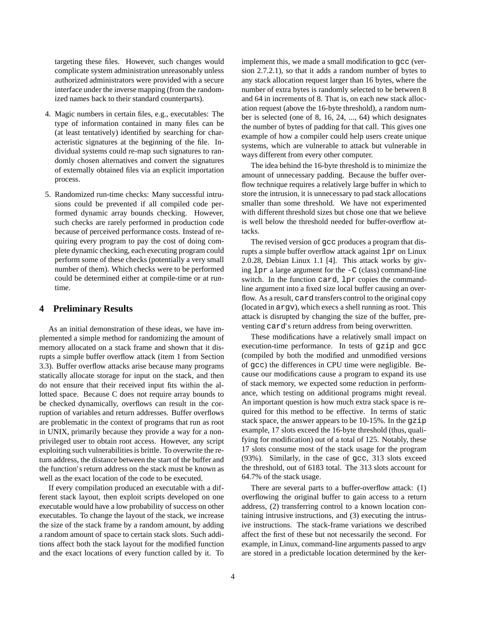targeting these files. However, such changes would complicate system administration unreasonably unless authorized administrators were provided with a secure interface under the inverse mapping (from the randomized names back to their standard counterparts).

- 4. Magic numbers in certain files, e.g., executables: The type of information contained in many files can be (at least tentatively) identified by searching for characteristic signatures at the beginning of the file. Individual systems could re-map such signatures to randomly chosen alternatives and convert the signatures of externally obtained files via an explicit importation process.
- 5. Randomized run-time checks: Many successful intrusions could be prevented if all compiled code performed dynamic array bounds checking. However, such checks are rarely performed in production code because of perceived performance costs. Instead of requiring every program to pay the cost of doing complete dynamic checking, each executing program could perform some of these checks (potentially a very small number of them). Which checks were to be performed could be determined either at compile-time or at runtime.

#### **4 Preliminary Results**

As an initial demonstration of these ideas, we have implemented a simple method for randomizing the amount of memory allocated on a stack frame and shown that it disrupts a simple buffer overflow attack (item 1 from Section 3.3). Buffer overflow attacks arise because many programs statically allocate storage for input on the stack, and then do not ensure that their received input fits within the allotted space. Because C does not require array bounds to be checked dynamically, overflows can result in the corruption of variables and return addresses. Buffer overflows are problematic in the context of programs that run as root in UNIX, primarily because they provide a way for a nonprivileged user to obtain root access. However, any script exploiting such vulnerabilities is brittle. To overwrite the return address, the distance between the start of the buffer and the function's return address on the stack must be known as well as the exact location of the code to be executed.

If every compilation produced an executable with a different stack layout, then exploit scripts developed on one executable would have a low probability of success on other executables. To change the layout of the stack, we increase the size of the stack frame by a random amount, by adding a random amount of space to certain stack slots. Such additions affect both the stack layout for the modified function and the exact locations of every function called by it. To

implement this, we made a small modification to gcc (version 2.7.2.1), so that it adds a random number of bytes to any stack allocation request larger than 16 bytes, where the number of extra bytes is randomly selected to be between 8 and 64 in increments of 8. That is, on each new stack allocation request (above the 16-byte threshold), a random number is selected (one of 8, 16, 24, ..., 64) which designates the number of bytes of padding for that call. This gives one example of how a compiler could help users create unique systems, which are vulnerable to attack but vulnerable in ways different from every other computer.

The idea behind the 16-byte threshold is to minimize the amount of unnecessary padding. Because the buffer overflow technique requires a relatively large buffer in which to store the intrusion, it is unnecessary to pad stack allocations smaller than some threshold. We have not experimented with different threshold sizes but chose one that we believe is well below the threshold needed for buffer-overflow attacks.

The revised version of gcc produces a program that disrupts a simple buffer overflow attack against lpr on Linux 2.0.28, Debian Linux 1.1 [4]. This attack works by giving lpr a large argument for the -C (class) command-line switch. In the function card, lpr copies the commandline argument into a fixed size local buffer causing an overflow. As a result, card transfers control to the original copy (located in argv), which execs a shell running as root. This attack is disrupted by changing the size of the buffer, preventing card's return address from being overwritten.

These modifications have a relatively small impact on execution-time performance. In tests of gzip and gcc (compiled by both the modified and unmodified versions of gcc) the differences in CPU time were negligible. Because our modifications cause a program to expand its use of stack memory, we expected some reduction in performance, which testing on additional programs might reveal. An important question is how much extra stack space is required for this method to be effective. In terms of static stack space, the answer appears to be 10-15%. In the gzip example, 17 slots exceed the 16-byte threshold (thus, qualifying for modification) out of a total of 125. Notably, these 17 slots consume most of the stack usage for the program (93%). Similarly, in the case of gcc, 313 slots exceed the threshold, out of 6183 total. The 313 slots account for 64.7% of the stack usage.

There are several parts to a buffer-overflow attack: (1) overflowing the original buffer to gain access to a return address, (2) transferring control to a known location containing intrusive instructions, and (3) executing the intrusive instructions. The stack-frame variations we described affect the first of these but not necessarily the second. For example, in Linux, command-line arguments passed to argv are stored in a predictable location determined by the ker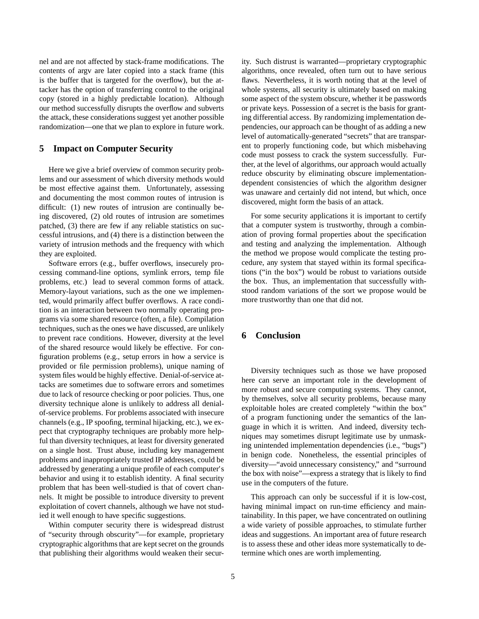nel and are not affected by stack-frame modifications. The contents of argv are later copied into a stack frame (this is the buffer that is targeted for the overflow), but the attacker has the option of transferring control to the original copy (stored in a highly predictable location). Although our method successfully disrupts the overflow and subverts the attack, these considerations suggest yet another possible randomization—one that we plan to explore in future work.

# **5 Impact on Computer Security**

Here we give a brief overview of common security problems and our assessment of which diversity methods would be most effective against them. Unfortunately, assessing and documenting the most common routes of intrusion is difficult: (1) new routes of intrusion are continually being discovered, (2) old routes of intrusion are sometimes patched, (3) there are few if any reliable statistics on successful intrusions, and (4) there is a distinction between the variety of intrusion methods and the frequency with which they are exploited.

Software errors (e.g., buffer overflows, insecurely processing command-line options, symlink errors, temp file problems, etc.) lead to several common forms of attack. Memory-layout variations, such as the one we implemented, would primarily affect buffer overflows. A race condition is an interaction between two normally operating programs via some shared resource (often, a file). Compilation techniques, such as the ones we have discussed, are unlikely to prevent race conditions. However, diversity at the level of the shared resource would likely be effective. For configuration problems (e.g., setup errors in how a service is provided or file permission problems), unique naming of system files would be highly effective. Denial-of-service attacks are sometimes due to software errors and sometimes due to lack of resource checking or poor policies. Thus, one diversity technique alone is unlikely to address all denialof-service problems. For problems associated with insecure channels (e.g., IP spoofing, terminal hijacking, etc.), we expect that cryptography techniques are probably more helpful than diversity techniques, at least for diversity generated on a single host. Trust abuse, including key management problems and inappropriately trusted IP addresses, could be addressed by generating a unique profile of each computer's behavior and using it to establish identity. A final security problem that has been well-studied is that of covert channels. It might be possible to introduce diversity to prevent exploitation of covert channels, although we have not studied it well enough to have specific suggestions.

Within computer security there is widespread distrust of "security through obscurity"—for example, proprietary cryptographic algorithms that are kept secret on the grounds that publishing their algorithms would weaken their security. Such distrust is warranted—proprietary cryptographic algorithms, once revealed, often turn out to have serious flaws. Nevertheless, it is worth noting that at the level of whole systems, all security is ultimately based on making some aspect of the system obscure, whether it be passwords or private keys. Possession of a secret is the basis for granting differential access. By randomizing implementation dependencies, our approach can be thought of as adding a new level of automatically-generated "secrets" that are transparent to properly functioning code, but which misbehaving code must possess to crack the system successfully. Further, at the level of algorithms, our approach would actually reduce obscurity by eliminating obscure implementationdependent consistencies of which the algorithm designer was unaware and certainly did not intend, but which, once discovered, might form the basis of an attack.

For some security applications it is important to certify that a computer system is trustworthy, through a combination of proving formal properties about the specification and testing and analyzing the implementation. Although the method we propose would complicate the testing procedure, any system that stayed within its formal specifications ("in the box") would be robust to variations outside the box. Thus, an implementation that successfully withstood random variations of the sort we propose would be more trustworthy than one that did not.

# **6 Conclusion**

Diversity techniques such as those we have proposed here can serve an important role in the development of more robust and secure computing systems. They cannot, by themselves, solve all security problems, because many exploitable holes are created completely "within the box" of a program functioning under the semantics of the language in which it is written. And indeed, diversity techniques may sometimes disrupt legitimate use by unmasking unintended implementation dependencies (i.e., "bugs") in benign code. Nonetheless, the essential principles of diversity—"avoid unnecessary consistency," and "surround the box with noise"—express a strategy that is likely to find use in the computers of the future.

This approach can only be successful if it is low-cost, having minimal impact on run-time efficiency and maintainability. In this paper, we have concentrated on outlining a wide variety of possible approaches, to stimulate further ideas and suggestions. An important area of future research is to assess these and other ideas more systematically to determine which ones are worth implementing.